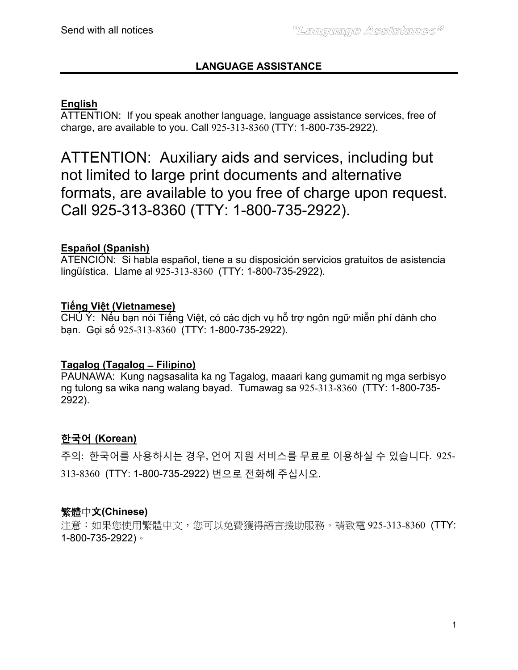# **LANGUAGE ASSISTANCE**

## **English**

ATTENTION: If you speak another language, language assistance services, free of charge, are available to you. Call 925-313-8360 (TTY: 1-800-735-2922).

ATTENTION: Auxiliary aids and services, including but not limited to large print documents and alternative formats, are available to you free of charge upon request. Call 925-313-8360 (TTY: 1-800-735-2922).

## **Español (Spanish)**

ATENCIÓN: Si habla español, tiene a su disposición servicios gratuitos de asistencia lingüística. Llame al 925-313-8360 (TTY: 1-800-735-2922).

## **Tiếng Việt (Vietnamese)**

CHÚ Ý: Nếu bạn nói Tiếng Việt, có các dịch vụ hỗ trợ ngôn ngữ miễn phí dành cho bạn. Gọi số 925-313-8360 (TTY: 1-800-735-2922).

## **Tagalog (Tagalog ̶ Filipino)**

PAUNAWA: Kung nagsasalita ka ng Tagalog, maaari kang gumamit ng mga serbisyo ng tulong sa wika nang walang bayad. Tumawag sa 925-313-8360 (TTY: 1-800-735- 2922).

## **한국어 (Korean)**

주의: 한국어를 사용하시는 경우, 언어 지원 서비스를 무료로 이용하실 수 있습니다. 925- 313-8360 (TTY: 1-800-735-2922) 번으로 전화해 주십시오.

## 繁體中文**(Chinese)**

注意:如果您使用繁體中文,您可以免費獲得語言援助服務。請致電 925-313-8360 (TTY: 1-800-735-2922)。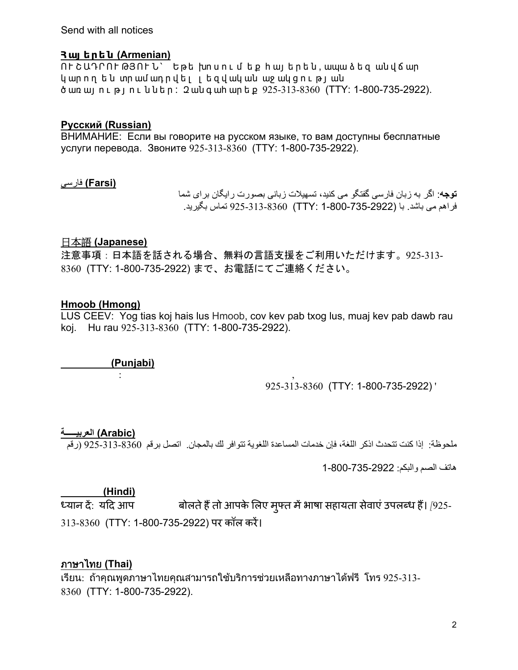Send with all notices

#### **Հ այ ե ր ե ն (Armenian)**

 $\overline{0}$   $\overline{0}$   $\overline{0}$   $\overline{0}$   $\overline{0}$   $\overline{0}$   $\overline{0}$   $\overline{1}$   $\overline{0}$   $\overline{0}$   $\overline{0}$   $\overline{0}$   $\overline{0}$   $\overline{0}$   $\overline{0}$   $\overline{0}$   $\overline{0}$   $\overline{0}$   $\overline{0}$   $\overline{0}$   $\overline{0}$   $\overline{0}$   $\overline{0}$   $\overline{0}$   $\overline{$ կ ար որ ե ն տր ամ ադ ր վ ե լ լ ե զ վ ակ ան աջ ակ ց ո ւ թ լ ան ծ առ այ ո ւ թ յ ո ւ ն ն ե ր : Զ ան գ ահ ար ե ք 925-313-8360 (TTY: 1-800-735-2922).

#### **Русский (Russian)**

ВНИМАНИЕ: Если вы говорите на русском языке, то вам доступны бесплатные услуги перевода. Звоните 925-313-8360 (TTY: 1-800-735-2922).

#### **(Farsi (**فارسی

**توجه**: اگر به زبان فارسی گفتگو می کنيد، تسھيالت زبانی بصورت رايگان برای شما فراھم می باشد. با (1-800-735-2922 :TTY (925-313-8360 تماس بگيريد.

#### 日本語 **(Japanese)**

注意事項:日本語を話される場合、無料の言語支援をご利用いただけます。925-313- 8360 (TTY: 1-800-735-2922) まで、お電話にてご連絡ください。

### **Hmoob (Hmong)**

LUS CEEV: Yog tias koj hais lus Hmoob, cov kev pab txog lus, muaj kev pab dawb rau koj. Hu rau 925-313-8360 (TTY: 1-800-735-2922).

 **(Punjabi)** 

 $\vdots$  , and the set of  $\cdot$  , and  $\cdot$  , and  $\cdot$  , and  $\cdot$  , and  $\cdot$  , and  $\cdot$  , and  $\cdot$  , and  $\cdot$  , and  $\cdot$  , and  $\cdot$  , and  $\cdot$  , and  $\cdot$  , and  $\cdot$  , and  $\cdot$  , and  $\cdot$  , and  $\cdot$  , and  $\cdot$  , and  $\cdot$  , and 925-313-8360 (TTY: 1-800-735-2922) '

## (Arabic) العربي**د**

ملحوظة: إذا كنت تتحدث اذكر اللغة، فإن خدمات المساعدة اللغوية تتوافر لك بالمجان. اتصل برقم 925-313-8360 (رقم

ھاتف الصم والبكم: 1-800-735-2922

\_\_\_\_\_\_\_\_\_\_\_**(Hindi)**<br>ध्यान दें: यदि आप बोलते हैं तो आपके लिए मुफ्त में भाषा सहायता सेवाएं उपलब्ध हैं। *[*925-313-8360 (TTY: 1-800-735-2922) पर कॉल करें।

## ภาษาไทย **(Thai)**

เรียน: ถาคุณพูดภาษาไทยคุณสามารถใชบริการชวยเหลือทางภาษาไดฟรี โทร 925-313- 8360 (TTY: 1-800-735-2922).